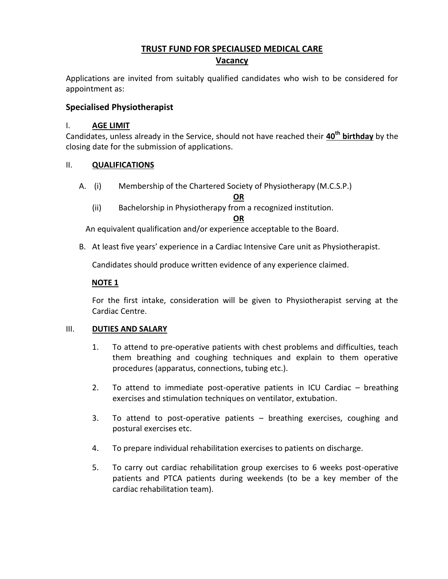# **TRUST FUND FOR SPECIALISED MEDICAL CARE Vacancy**

Applications are invited from suitably qualified candidates who wish to be considered for appointment as:

# **Specialised Physiotherapist**

#### I. **AGE LIMIT**

Candidates, unless already in the Service, should not have reached their **40th birthday** by the closing date for the submission of applications.

#### II. **QUALIFICATIONS**

A. (i) Membership of the Chartered Society of Physiotherapy (M.C.S.P.)

**OR**

(ii) Bachelorship in Physiotherapy from a recognized institution.

**OR**

An equivalent qualification and/or experience acceptable to the Board.

B. At least five years' experience in a Cardiac Intensive Care unit as Physiotherapist.

Candidates should produce written evidence of any experience claimed.

### **NOTE 1**

For the first intake, consideration will be given to Physiotherapist serving at the Cardiac Centre.

#### III. **DUTIES AND SALARY**

- 1. To attend to pre-operative patients with chest problems and difficulties, teach them breathing and coughing techniques and explain to them operative procedures (apparatus, connections, tubing etc.).
- 2. To attend to immediate post-operative patients in ICU Cardiac breathing exercises and stimulation techniques on ventilator, extubation.
- 3. To attend to post-operative patients breathing exercises, coughing and postural exercises etc.
- 4. To prepare individual rehabilitation exercises to patients on discharge.
- 5. To carry out cardiac rehabilitation group exercises to 6 weeks post-operative patients and PTCA patients during weekends (to be a key member of the cardiac rehabilitation team).